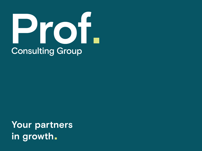# Prof. **Consulting Group**

**Your partners in growth**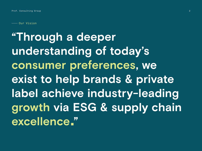- Our Vision

**"Through a deeper understanding of today's consumer preferences, we exist to help brands & private label achieve industry-leading growth via ESG & supply chain excellence "**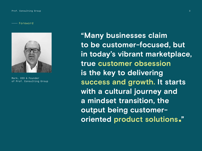Foreword



Mark, CEO & Founder of Prof. Consulting Group

**"Many businesses claim to be customer-focused, but in today's vibrant marketplace, true customer obsession is the key to delivering success and growth. It starts**  with a cultural journey and **a mindset transition, the output being customeroriented product solutions "**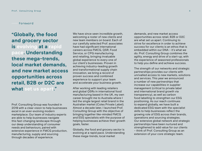Foreword

**"Globally, the food and grocery sector is evolving at a rapid pace. Understanding these mega-trends, local market demands, and new market access opportunities across retail, B2B or D2C are what set us apart."** 

Prof. Consulting Group was founded in 2019 with a clear vision to help businesses excel in an ever-evolving modern marketplace. Our team of industry experts are able to help businesses navigate this fast-changing landscape through our deep understanding of consumer needs and behaviours, paired with extensive experience in FMCG production, manufacturing, supply and sourcing through decades of experience.

We have since seen incredible growth, welcoming a roster of new clients and new team members on board. Each of our carefully selected Prof. associates have had significant international careers across FMCG, QSR, Food Service, or CPG manufacturing and retailing, bringing invaluable global experience to every one of our client's businesses. Proven in achieving industry-leading growth and transformational supply chain innovation, we bring a record of proven success and combined experience to support your team and accelerate your business growth.

After working with leading retailers and global QSRs in international food manufacturing based in the UK, my own career brought me to Australia where I led the single largest retail brand in the Australian market (Coles Private Label). Almost a decade later, I launched Prof. Consulting Group with the objective of bringing together like-minded FMCG and ESG specialists with the purpose of helping businesses achieve their growth goals, faster.

Globally, the food and grocery sector is evolving at a rapid pace. Understanding these mega-trends, local market

demands, and new market access opportunities across retail, B2B or D2C are what set us apart. Continuing to strive for excellence in order to achieve success for our clients is an ethos that is embedded within our DNA – it's what we do. Prof. Consulting Group combines the agility, energy and drive of a start-up, with the experience of seasoned professionals to help you define and achieve success.

The strength of our networks and strategic partnerships provides our clients with unrivalled access to new markets, solutions and services. This year we announced a number of new partnerships that increase our capabilities in supplier management (critical to private label and international brand growth via transparency), as well as carbon food labelling to strengthen our ESG positioning. As our reach continues to expand globally, we have built a dedicated ESG team with the specialist skills to help businesses reflect the growing role of ESG across their brands, operations and sourcing strategies. Our extensive global network and strategic partnerships have been nurtured and strengthened to add value for our clients – think of Prof. Consulting Group as an extension of your core strategic team.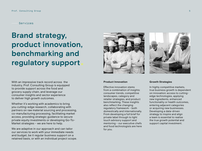Services

# **Brand strategy, product innovation, benchmarking and regulatory support**

With an impressive track record across the industry, Prof. Consulting Group is equipped to provide support across the food and grocery supply chain, and leverage our consumer insights and sector experience to deliver high growth outcomes.

Whether it's working with academics to bring you cutting-edge research, collaborating with partners on raw material sourcing and processing, co-manufacturing processing, facilitating market access, providing strategic guidance to secure private equity investments or developing Go-To-Market strategies – we are here to help.

We are adaptive in our approach and can tailor our services to work with your immediate needs and budget, be it regular business support on a retained basis, or with an individual project scope.



#### **Product Innovation**

Effective innovation stems from a combination of insights: consumer trends, competitive landscapes, category and retailer strategies, and product benchmarking. These insights also reflect the changing regulatory framework – both domestically and internationally. From developing a full brief for private label through to light touch advisory support and mentoring – our executive chefs and food technologists are here for you.



#### **Growth Strategies**

In highly competitive markets, true business growth is dependent on innovation: access to cuttingedge technologies, applying new ingredients, enhanced functionality or health outcomes, entering adjacent categories or acquiring new businesses. Developing a data-driven strategy to inspire and align a team is essential to realise the true growth potential and support capital investment.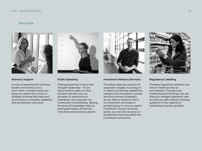#### Services



#### **Advisory Support**

Access to experienced business leaders and mentors on a short-term or project basis can plug your teams into a level of strategic thinking that improves performance, increases capability and accelerates outcomes.



#### **Public Speaking**

Sharing expertise is more than thought leadership – it's an opportunity to pass on what we have learned over our decades of experience to strengthen and empower our community of businesses. Raising the level of knowledge helps to build great teams, and drives innovation and business growth.



#### **Investment Advisory Services**

Providing objective analysis of acquisition targets, focusing on in-depth processing capabilities, category and innovation outlook and procurement strategies, we are able to enhance return on investment and support private equity or venture capital investment. As your business grows, you can also access our established networks within the investment community.



#### **Regulatory/Labelling**

Complex regulatory networks can slow or inhibit access to new markets. Through long established partnerships, we can help you navigate legislation and provide you with industry-leading guidance in the majority of established markets globally.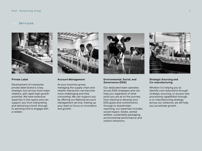#### Services



#### **Private Label**

Development of a bespoke private label brand is a key strategic tool across most major retailers, with rapid high growth potential. We have extensive expertise in this space and can support you from interpreting and delivering a brief, through to advising how to engage with a retailer.



#### **Account Management**

As your business grows, managing the supply chain and retailer interaction can become more challenging and time consuming. We can support you by offering our National account management service, freeing up your team to focus on innovation and growth.



#### **Environmental, Social, and Governance (ESG)**

Our dedicated team operates across ESG strategies and can help you regardless of what point you are at on the journey: from starting to develop your ESG goals and commitments through to shareholder reporting, our expertise includes social impact, Sedex, animal welfare, sustainable packaging, environmental performance and carbon emissions.



#### **Strategic Sourcing and Co-manufacturing**

Whether it's helping you to identify cost reductions through strategic sourcing, or access new processing capabilities through a co-manufacturing strategy across our networks, we will help you accelerate growth.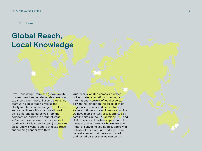Our Team

# **Global Reach, Local Knowledge**

Prof. Consulting Group has grown rapidly to meet the changing demands across our expanding client base. Building a dynamic team with global reach gives us the ability to offer a unique range of skill-sets and capabilities – it's what has allowed us to differentiate ourselves from the competition, and we're proud of what we've built. We believe our track record (both as individuals and a team) is best-inclass, and we want to share that expertise and winning capability with you.

Our team is located across a number of key strategic locations, creating an international network of local experts, all with their finger on the pulse of their regional consumer and market trends. As we continue to invest in new capability we have teams in Australia, supported by satellite sites in the UK, Germany, UAE and USA. These local partnerships around the globe are what make us who we are, and if there is anything you need support with outside of our direct networks, you can be rest assured that there's a trusted and tested partner that we can call on.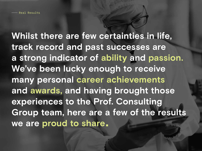**Whilst there are few certainties in life, track record and past successes are a strong indicator of ability and passion. We've been lucky enough to receive many personal career achievements and awards, and having brought those experiences to the Prof. Consulting Group team, here are a few of the results we are proud to share**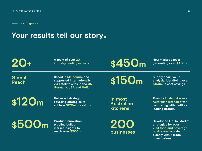- Key Figures

### **Your results tell our story**

**A team of over 20 industry leading experts.**

20 **a** team of over 20<br> **4250 m**<br> **120 +**<br> **120 m**<br> **120 m**<br> **130 m**<br> **130 m**<br> **130 m**<br> **1450 m**<br> **1450 m**<br> **1450 m** 

**Global Reach**

**Based in Melbourne and supported internationally via satellite sites in the UK, Germany, USA and UAE.**

**Supply chain value**  \$150m Supply chain value<br>\$150m in cost savings.

**\$120m**

**Delivered strategic sourcing strategies to achieve \$120m in savings.** **In most Australian kitchens**

**Proudly in almost every Australian kitchen after partnering with multiple leading brands.**

 $$500<sub>m</sub>$ <sup>Product innovation</sup><br> $$200$ 

**Product innovation pipeline built on market insights to reach over \$500m.** **businesses**

**Developed Go-to-Market strategies for over 200 food and beverage businesses, working closely with 7 trade commissions.**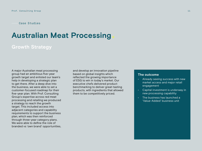## **Australian Meat Processing**

### **Growth Strategy**

A major Australian meat processing group had an ambitious five-year growth target and enlisted our team's help in developing a strategic plan to get there. After a deep dive into the business, we were able to set a customer-focused roadmap for their five-year plan. With Prof. Consulting Group's expertise across red meat processing and retailing we produced a strategy to reach the growth target. This included access into adjacent categories and capability requirements to support the business plan, which was then reinforced through three-year category plans. We were able to define the role of branded vs 'own brand' opportunities,

and develop an innovation pipeline based on global insights which reflected the growing importance of ESG to win in today's market. Our executive chefs delivered product benchmarking to deliver great-tasting products, with ingredients that allowed them to be competitively priced.

- Already seeing success with new market access and major retail engagement
- Capital investment is underway in new processing capability
- The business has launched a 'Value-Added' business unit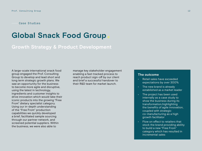### **Global Snack Food Group**

**Growth Strategy & Product Development**

A large-scale international snack food group engaged the Prof. Consulting Group to develop and lead short and long term strategic growth plans. We saw an opportunity for the business to become more agile and disruptive, using the latest in technology, ingredients and customer insights to drive innovation which would take their iconic products into the growing "Free From" dietary specialist category. Using our in-depth understanding of the "Free From" production capabilities we quickly developed a brief, facilitated sample sourcing through our partner network, and screened potential suppliers. Within the business, we were also able to

manage key stakeholder engagement enabling a fast-tracked process to reach product sign-off by our client and brief a successful handover to their R&D team for market launch.

- Retail sales have exceeded expectations by over 300%
- The new brand is already established as a market leader
- The project has been used internally as a case study to show the business during its transformation,highlighting the benefits of agile innovation, coupled with strategic co-manufacturing as a high growth facilitator
- Flow on effect to retailers that stock the brand providing ability to build a new "Free From" category which has resulted in incremental sales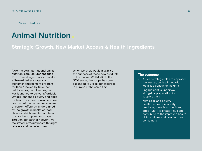### **Animal Nutrition**

**Strategic Growth, New Market Access & Health Ingredients**

A well-known international animal nutrition manufacturer engaged Prof. Consulting Group to develop a Go-to-Market strategy and customer engagement program for their "Backed by Science" nutrition program. The program was launched to deliver affordable Omega-enriched poultry and eggs for health-focused consumers. We conducted the market assessment of current offerings, underpinned by the growth in healthier food choices, which enabled our team to map the supplier landscape. Through our partner network, we facilitated introductions with target retailers and manufacturers

which we knew would maximise the success of these new products in the market. Whilst still in the GTM stage, the scope has been expanded to utilise our expertise in Europe at the same time.

- A clear strategic plan to approach the market, underpinned with localised consumer insights
- Engagement is underway alongside preparation to support trials
- With eggs and poultry positioned as commodity products, there is a significant opportunity to create value and contribute to the improved health of Australians and now European consumers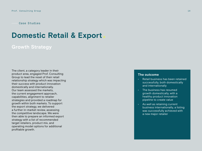### **Domestic Retail & Export**

### **Growth Strategy**

The client, a category leader in their product area, engaged Prof. Consulting Group to lead the reset of their retail relationship strategy which was impacting their success with product innovation domestically and internationally. Our team assessed the markets, the current engagement approach, capabilities, alignment to retailer strategies and provided a roadmap for growth within both markets. To support the export strategy, we delivered a further in-market review, assessing the competitive landscape. We were then able to prepare an informed export strategy with a list of recommended target retailers, product mix, and operating model options for additional profitable growth.

- Retail business has been retained successfully, both domestically and internationally
- The business has resumed growth domestically, with a healthy product innovation pipeline to create value
- As well as retaining current business internationally, a listing was successfully achieved with a new major retailer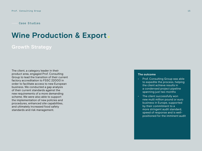### **Wine Production & Export**

### **Growth Strategy**

The client, a category leader in their product area, engaged Prof. Consulting Group to lead the transition of their current factory accreditation to FSSC 22000 in order to facilitate access to new European business. We conducted a gap analysis of their current standards against the new requirements of a more demanding scheme. We were also able to support the implementation of new policies and procedures, enhanced site capabilities, and ultimately increased food safety standards and risk management.

- Prof. Consulting Group was able to expedite the process, helping the client achieve results in a condensed project pipeline spanning just two months
- The client successfully won new multi million pound or euro business in Europe, supported by their commitment to a more stringent audit standard, speed of response and is wellpositioned for the imminent audit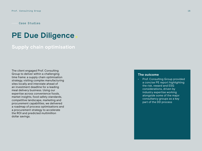Case Studies

### **PE Due Diligence**

### **Supply chain optimisation**

The client engaged Prof. Consulting Group to deliver within a challenging time frame: a supply chain optimisation strategy, visiting complex manufacturing sites locally and interstate ahead of an investment deadline for a leading meal delivery business. Using our expertise across convenience foods, market insights, food safety standards, competitive landscape, marketing and procurement capabilities, we delivered a roadmap of process optimisations and a procurement strategy to accelerate the ROI and predicted multimillion dollar savings.

#### **The outcome**

• Prof. Consulting Group provided a concise PE report highlighting the risk, reward and ESG considerations, driven by industry expertise working alongside some of the major consultancy groups as a key part of the DD process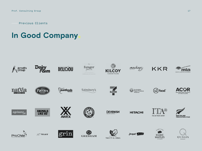Previous Clients

# **In Good Company**